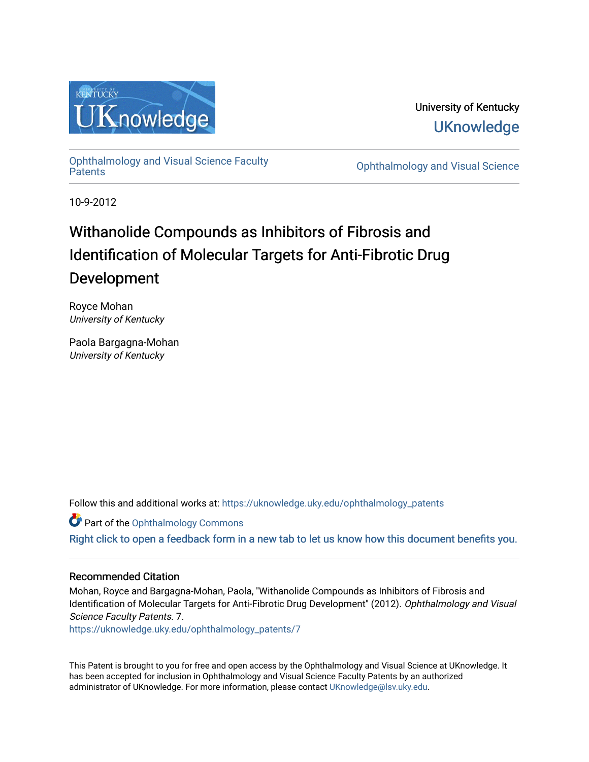

University of Kentucky **UKnowledge** 

[Ophthalmology and Visual Science Faculty](https://uknowledge.uky.edu/ophthalmology_patents)

**Ophthalmology and Visual Science** 

10-9-2012

# Withanolide Compounds as Inhibitors of Fibrosis and Identification of Molecular Targets for Anti-Fibrotic Drug Development

Royce Mohan University of Kentucky

Paola Bargagna-Mohan University of Kentucky

Follow this and additional works at: [https://uknowledge.uky.edu/ophthalmology\\_patents](https://uknowledge.uky.edu/ophthalmology_patents?utm_source=uknowledge.uky.edu%2Fophthalmology_patents%2F7&utm_medium=PDF&utm_campaign=PDFCoverPages) 

Part of the [Ophthalmology Commons](http://network.bepress.com/hgg/discipline/695?utm_source=uknowledge.uky.edu%2Fophthalmology_patents%2F7&utm_medium=PDF&utm_campaign=PDFCoverPages)

[Right click to open a feedback form in a new tab to let us know how this document benefits you.](https://uky.az1.qualtrics.com/jfe/form/SV_9mq8fx2GnONRfz7)

## Recommended Citation

Mohan, Royce and Bargagna-Mohan, Paola, "Withanolide Compounds as Inhibitors of Fibrosis and Identification of Molecular Targets for Anti-Fibrotic Drug Development" (2012). Ophthalmology and Visual Science Faculty Patents. 7.

[https://uknowledge.uky.edu/ophthalmology\\_patents/7](https://uknowledge.uky.edu/ophthalmology_patents/7?utm_source=uknowledge.uky.edu%2Fophthalmology_patents%2F7&utm_medium=PDF&utm_campaign=PDFCoverPages) 

This Patent is brought to you for free and open access by the Ophthalmology and Visual Science at UKnowledge. It has been accepted for inclusion in Ophthalmology and Visual Science Faculty Patents by an authorized administrator of UKnowledge. For more information, please contact [UKnowledge@lsv.uky.edu](mailto:UKnowledge@lsv.uky.edu).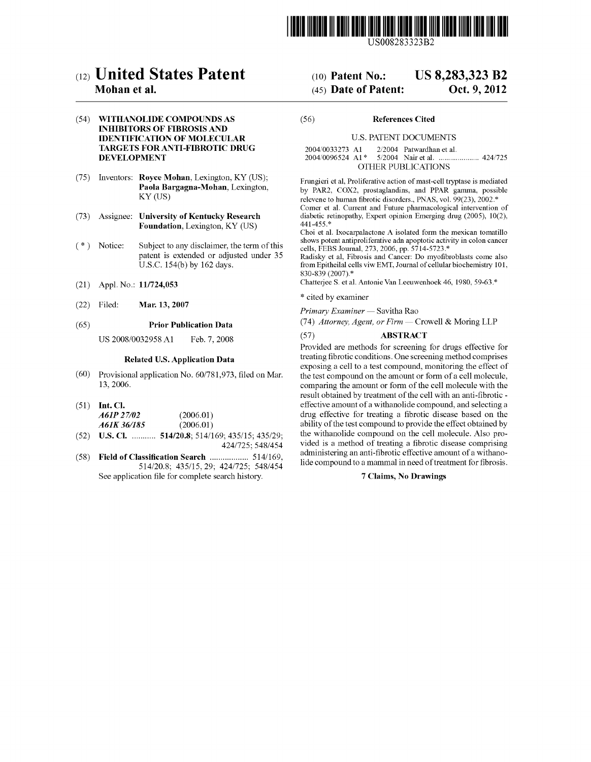

US008283323B2

## (12) United States Patent

### Mohan et a].

#### (54) WITHANOLIDE COMPOUNDS AS INHIBITORS OF FIBROSIS AND IDENTIFICATION OF MOLECULAR TARGETS FOR ANTI-FIBROTIC DRUG DEVELOPMENT

- (75) Inventors: Royce Mohan, Lexington, KY (US); Paola Bargagna-Mohan, Lexington, KY (US)
- (73) Assignee: University of Kentucky Research Foundation, Lexington, KY (US)
- $(* )$ Notice: Subject to any disclaimer, the term of this patent is extended or adjusted under 35 U.S.C. 154(b) by 162 days.
- (21) Appl. N0.: 11/724,053
- (22) Filed: Mar. 13, 2007

#### (65) Prior Publication Data

US 2008/0032958 A1 Feb. 7, 2008

#### Related US. Application Data

- (60) Provisional application No. 60/781,973, filed on Mar. 13, 2006.
- $(51)$  Int. Cl.

| A61P 27/02  | (2006.01) |
|-------------|-----------|
| A61K 36/185 | (2006.01) |

- $(52)$  **U.S. Cl.** ........... **514/20.8**; 514/169; 435/15; 435/29; 424/725; 548/454
- (58) Field of Classification Search ................... 514/169, 514/20.8; 435/15, 29; 424/725; 548/454 See application file for complete search history.

#### US 8,283,323 B2 (10) Patent N0.:

#### Oct. 9, 2012 (45) Date of Patent:

#### (56) References Cited

#### U.S. PATENT DOCUMENTS

2004/0033273 A1 2/2004 Patwardhan et al.<br>2004/0096524 A1\* 5/2004 Nair et al. .......... 5/2004 Nair et al. ......................... 424/725 OTHER PUBLICATIONS

Frungieri et al, Proliferative action of mast-cell tryptase is mediated by PAR2, COX2, prostaglandins, and PPAR gamma, possible relevene to human fibrotic disorders., PNAS, vol. 99(23), 2002.\*

Comer et al. Current and Future pharmacological intervention of diabetic retinopathy, Expert opinion Emerging drug (2005), 10(2), 441-455.\*

Choi et al. Ixocarpalactone A isolated form the mexican tomatillo shows potent antiproliferative adn apoptotic activity in colon cancer cells, FEBS Journal, 273, 2006, pp. 5714-5723.\*

Radisky et al, Fibrosis and Cancer: Do myofibroblasts come also from Epitheilal cells viw EMT, Journal of cellular biochemistry 101, 830-839 (2007).\*

Chatterjee S. et al. Antonie Van Leeuwenhoek 46, 1980, 59-63.\*

\* cited by examiner

Primary Examiner - Savitha Rao

(74) Attorney, Agent, or Firm  $-$  Crowell & Moring LLP

#### (57) ABSTRACT

Provided are methods for screening for drugs effective for treating fibrotic conditions. One screening method comprises exposing a cell to a test compound, monitoring the effect of the test compound on the amount or form of a cell molecule, comparing the amount or form of the cell molecule With the result obtained by treatment of the cell with an anti-fibrotic effective amount of a Withanolide compound, and selecting a drug effective for treating a fibrotic disease based on the ability of the test compound to provide the effect obtained by the Withanolide compound on the cell molecule. Also pro vided is a method of treating a fibrotic disease comprising administering an anti-fibrotic effective amount of a withanolide compound to a mammal in need of treatment for fibrosis.

#### 7 Claims, No Drawings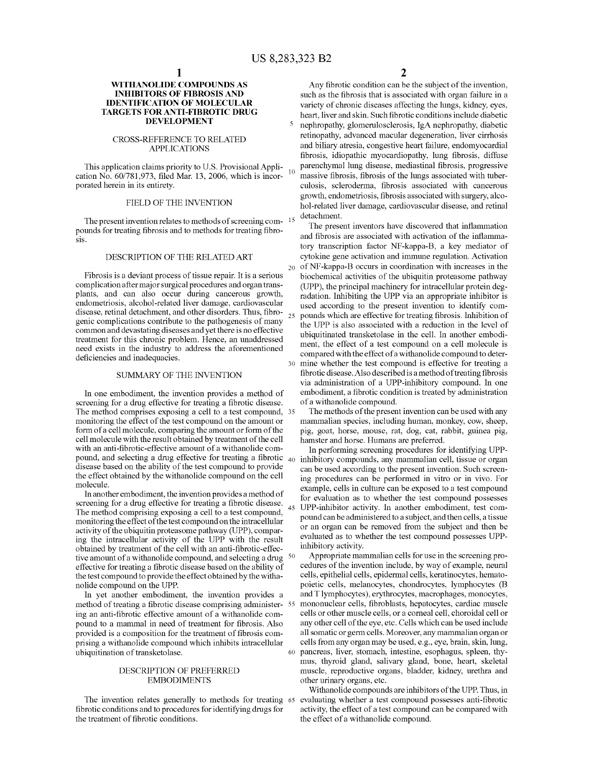20

25

45

60

#### WITHANOLIDE COMPOUNDS AS INHIBITORS OF FIBROSIS AND IDENTIFICATION OF MOLECULAR TARGETS FOR ANTI-FIBROTIC DRUG DEVELOPMENT

#### CROSS-REFERENCE TO RELATED APPLICATIONS

This application claims priority to U.S. Provisional Application No. 60/781,973, filed Mar. 13, 2006, which is incorporated herein in its entirety.

#### FIELD OF THE INVENTION

The present invention relates to methods of screening com pounds for treating fibrosis and to methods for treating fibrosis.

#### DESCRIPTION OF THE RELATED ART

Fibrosis is a deviant process of tissue repair. It is a serious complication after major surgical procedures and organ trans plants, and can also occur during cancerous groWth, endometriosis, alcohol-related liver damage, cardiovascular disease, retinal detachment, and other disorders. Thus, fibro-<br>genic complications contribute to the pathogenesis of many common and devastating diseases and yet there is no effective treatment for this chronic problem. Hence, an unaddressed need exists in the industry to address the aforementioned deficiencies and inadequacies.

#### SUMMARY OF THE INVENTION

In one embodiment, the invention provides a method of screening for a drug effective for treating a fibrotic disease. The method comprises exposing a cell to a test compound, 35 monitoring the effect of the test compound on the amount or form of a cell molecule, comparing the amount or form of the cell molecule With the result obtained by treatment of the cell with an anti-fibrotic-effective amount of a withanolide compound, and selecting a drug effective for treating a fibrotic  $_{40}$ disease based on the ability of the test compound to provide the effect obtained by the Withanolide compound on the cell molecule.

In another embodiment, the invention provides a method of screening for a drug effective for treating a fibrotic disease. The method comprising exposing a cell to a test compound, monitoring the effect of the test compound on the intracellular activity of the ubiquitin proteasome pathway (UPP), comparing the intracellular activity of the UPP With the result obtained by treatment of the cell with an anti-fibrotic-effective amount of a withanolide compound, and selecting a drug  $\frac{50}{2}$ effective for treating a fibrotic disease based on the ability of the test compound to provide the effect obtained by the Witha nolide compound on the UPP.

In yet another embodiment, the invention provides a method of treating a fibrotic disease comprising administer- 55 ing an anti-fibrotic effective amount of a withanolide compound to a mammal in need of treatment for fibrosis. Also provided is a composition for the treatment of fibrosis comprising a Withanolide compound Which inhibits intracellular ubiquitination of transketolase.

#### DESCRIPTION OF PREFERRED EMBODIMENTS

The invention relates generally to methods for treating 65 fibrotic conditions and to procedures for identifying drugs for the treatment of fibrotic conditions.

2

Any fibrotic condition can be the subject of the invention, such as the fibrosis that is associated with organ failure in a variety of chronic diseases affecting the lungs, kidney, eyes, heart, liver and skin. Such fibrotic conditions include diabetic nephropathy, glomerulosclerosis, IgA nephropathy, diabetic retinopathy, advanced macular degeneration, liver cirrhosis and biliary atresia, congestive heart failure, endomyocardial fibrosis, idiopathic myocardiopathy, lung fibrosis, diffuse parenchymal lung disease, mediastinal fibrosis, progressive massive fibrosis, fibrosis of the lungs associated with tuberculosis, scleroderma, fibrosis associated with cancerous growth, endometriosis, fibrosis associated with surgery, alcohol-related liver damage, cardiovascular disease, and retinal detachment.

30 The present inventors have discovered that inflammation and fibrosis are associated with activation of the inflammatory transcription factor NF-kappa-B, a key mediator of cytokine gene activation and immune regulation. Activation of NF-kappa-B occurs in coordination With increases in the biochemical activities of the ubiquitin proteasome pathway (UPP), the principal machinery for intracellular protein degradation. Inhibiting the UPP via an appropriate inhibitor is used according to the present invention to identify com pounds which are effective for treating fibrosis. Inhibition of the UPP is also associated With a reduction in the level of ubiquitinated transketolase in the cell. In another embodi ment, the effect of a test compound on a cell molecule is compared With the effect of a Withanolide compound to deter mine Whether the test compound is effective for treating a fibrotic disease. Also described is a method of treating fibrosis via administration of a UPP-inhibitory compound. In one embodiment, a fibrotic condition is treated by administration of a Withanolide compound.

The methods of the present invention can be used With any mammalian species, including human, monkey, coW, sheep, pig, goat, horse, mouse, rat, dog, cat, rabbit, guinea pig, hamster and horse. Humans are preferred.

In performing screening procedures for identifying UPP inhibitory compounds, any mammalian cell, tissue or organ can be used according to the present invention. Such screen ing procedures can be performed in vitro or in vivo. For example, cells in culture can be exposed to a test compound for evaluation as to Whether the test compound possesses UPP-inhibitor activity. In another embodiment, test com pound canbe administered to a subject, and then cells, a tissue or an organ can be removed from the subject and then be evaluated as to Whether the test compound possesses UPP inhibitory activity.

Appropriate mammalian cells for use in the screening pro cedures of the invention include, by Way of example, neural cells, epithelial cells, epidermal cells, keratinocytes, hemato poietic cells, melanocytes, chondrocytes, lymphocytes (B and T lymphocytes), erythrocytes, macrophages, monocytes, mononuclear cells, fibroblasts, hepatocytes, cardiac muscle cells or other muscle cells, or a corneal cell, choroidal cell or any other cell of the eye, etc. Cells Which can be used include all somatic or germ cells. Moreover, any mammalian organ or cells from any organ may be used, e.g., eye, brain, skin, lung, pancreas, liver, stomach, intestine, esophagus, spleen, thy mus, thyroid gland, salivary gland, bone, heart, skeletal muscle, reproductive organs, bladder, kidney, urethra and other urinary organs, etc.

Withanolide compounds are inhibitors of the UPP. Thus, in evaluating whether a test compound possesses anti-fibrotic activity, the effect of a test compound can be compared With the effect of a Withanolide compound.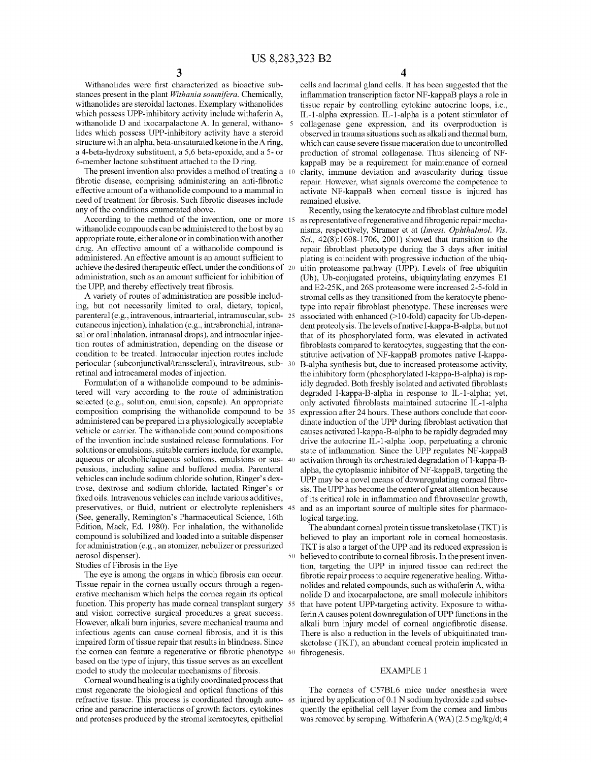Withanolides were first characterized as bioactive substances present in the plant Withania somnifera. Chemically, withanolides are steroidal lactones. Exemplary withanolides which possess UPP-inhibitory activity include withaferin A, withanolide D and ixocarpalactone A. In general, withano- 5 lides Which possess UPP-inhibitory activity have a steroid structure With an alpha, beta-unsaturated ketone in theA ring, a 4-beta-hydroxy substituent, a 5,6 beta-epoxide, and a 5- or 6-member lactone substituent attached to the D ring.

The present invention also provides a method of treating a 10 fibrotic disease, comprising administering an anti-fibrotic effective amount of a Withanolide compound to a mammal in need of treatment for fibrosis. Such fibrotic diseases include any of the conditions enumerated above.

According to the method of the invention, one or more 15 Withanolide compounds can be administered to the host by an appropriate route, either alone or in combination With another drug. An effective amount of a Withanolide compound is administered. An effective amount is an amount sufficient to achieve the desired therapeutic effect, under the conditions of 20 administration, such as an amount sufficient for inhibition of the UPP, and thereby effectively treat fibrosis.

A variety of routes of administration are possible includ ing, but not necessarily limited to oral, dietary, topical, parenteral (e.g., intravenous, intraarterial, intramuscular, sub 25 cutaneous injection), inhalation (e.g., intrabronchial, intrana sal or oral inhalation, intranasal drops), and intraocular injection routes of administration, depending on the disease or condition to be treated. Intraocular injection routes include periocular (subconjunctival/transscleral), intravitreous, sub- 30 retinal and intracameral modes of injection.

Formulation of a Withanolide compound to be adminis tered Will vary according to the route of administration selected (e.g., solution, emulsion, capsule). An appropriate composition comprising the Withanolide compound to be 35 administered can be prepared in a physiologically acceptable vehicle or carrier. The Withanolide compound compositions of the invention include sustained release formulations. For solutions or emulsions, suitable carriers include, for example, aqueous or alcoholic/aqueous solutions, emulsions or sus- 40 pensions, including saline and buffered media. Parenteral vehicles can include sodium chloride solution, Ringer's dex trose, dextrose and sodium chloride, lactated Ringer's or fixed oils. Intravenous vehicles can include various additives, preservatives, or fluid, nutrient or electrolyte replenishers 45 (See, generally, Remington's Pharmaceutical Science, 16th Edition, Mack, Ed. 1980). For inhalation, the Withanolide compound is solubiliZed and loaded into a suitable dispenser for administration (e.g., an atomizer, nebulizer or pressurized aerosol dispenser). 50

#### Studies of Fibrosis in the Eye

The eye is among the organs in which fibrosis can occur. Tissue repair in the cornea usually occurs through a regen erative mechanism Which helps the cornea regain its optical function. This property has made corneal transplant surgery 55 and vision corrective surgical procedures a great success. HoWever, alkali burn injuries, severe mechanical trauma and infectious agents can cause corneal fibrosis, and it is this impaired form of tissue repair that results in blindness. Since the cornea can feature a regenerative or fibrotic phenotype 60 based on the type of injury, this tissue serves as an excellent model to study the molecular mechanisms of fibrosis.

Corneal Wound healing is a tightly coordinated process that must regenerate the biological and optical functions of this refractive tissue. This process is coordinated through auto- 65 injured by application of 0.1 N sodium hydroxide and subsecrine and paracrine interactions of groWth factors, cytokines and proteases produced by the stromal keratocytes, epithelial

4

cells and lacrimal gland cells. It has been suggested that the inflammation transcription factor NF-kappaB plays a role in tissue repair by controlling cytokine autocrine loops, i.e., IL-1-alpha expression. IL-1-alpha is a potent stimulator of collagenase gene expression, and its overproduction is observed in trauma situations such as alkali and thermal burn, Which can cause severe tissue maceration due to uncontrolled production of stromal collagenase. Thus silencing of NF kappaB may be a requirement for maintenance of corneal clarity, immune deviation and avascularity during tissue repair. HoWever, What signals overcome the competence to activate NF-kappaB When corneal tissue is injured has remained elusive.

Recently, using the keratocyte and fibroblast culture model as representative of regenerative and fibrogenic repair mechanisms, respectively, Stramer et at (Invest. Ophthalmol. Vis. Sci.,  $42(8)$ :1698-1706, 2001) showed that transition to the repair fibroblast phenotype during the 3 days after initial plating is coincident With progressive induction of the ubiq uitin proteasome pathWay (UPP). Levels of free ubiquitin (Ub), Ub-conjugated proteins, ubiquinylating enZymes E1 and E2-25K, and 26S proteasome Were increased 2-5-fold in stromal cells as they transitioned from the keratocyte pheno type into repair fibroblast phenotype. These increases were associated With enhanced (>10-fold) capacity for Ub-depen dent proteolysis. The levels of native I-kappa-B-alpha, but not that of its phosphorylated form, Was elevated in activated fibroblasts compared to keratocytes, suggesting that the constitutive activation of NF-kappaB promotes native I-kappa B-alpha synthesis but, due to increased proteasome activity, the inhibitory form (phosphorylated I-kappa-B-alpha) is rap idly degraded. Both freshly isolated and activated fibroblasts degraded I-kappa-B-alpha in response to IL-1-alpha; yet, only activated fibroblasts maintained autocrine IL-1-alpha expression after 24 hours. These authors conclude that coor dinate induction of the UPP during fibroblast activation that causes activated I-kappa-B-alpha to be rapidly degraded may drive the autocrine IL-1-alpha loop, perpetuating a chronic state of inflammation. Since the UPP regulates NF-kappaB activation through its orchestrated degradation of I-kappa-B alpha, the cytoplasmic inhibitor of NF -kappaB, targeting the UPP may be a novel means of downregulating corneal fibrosis. The UPP has become the center of great attention because of its critical role in inflammation and fibrovascular growth, and as an important source of multiple sites for pharmaco logical targeting.

The abundant corneal protein tissue transketolase (TKT) is believed to play an important role in corneal homeostasis. TKT is also a target of the UPP and its reduced expression is believed to contribute to corneal fibrosis. In the present invention, targeting the UPP in injured tissue can redirect the fibrotic repair process to acquire regenerative healing. Withanolides and related compounds, such as Withaferin A, Witha nolide D and ixocarpalactone, are small molecule inhibitors that have potent UPP-targeting activity. Exposure to Witha ferinA causes potent doWnregulation of UPP functions in the alkali burn injury model of corneal angiofibrotic disease. There is also a reduction in the levels of ubiquitinated tran sketolase (TKT), an abundant corneal protein implicated in fibrogenesis.

#### EXAMPLE 1

The corneas of C57BL6 mice under anesthesia Were quently the epithelial cell layer from the cornea and limbus was removed by scraping. Withaferin A (WA) (2.5 mg/kg/d; 4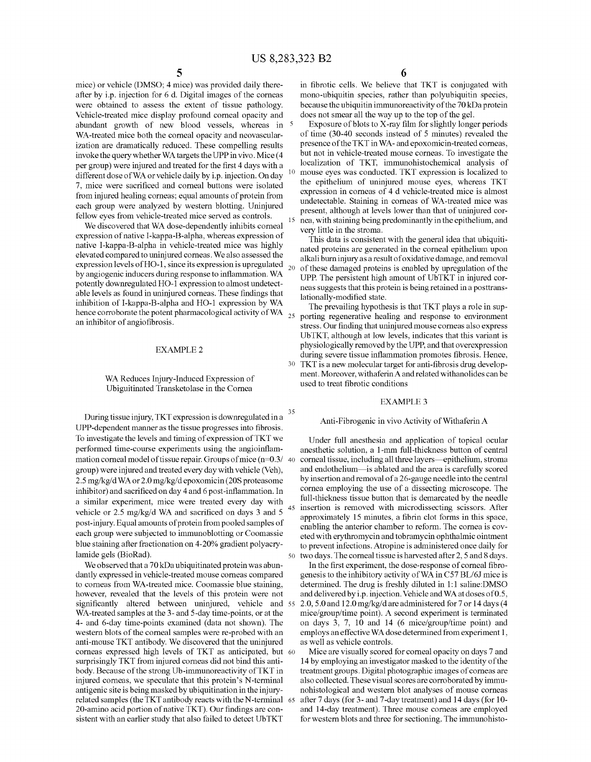35

45

mice) or vehicle (DMSO; 4 mice) Was provided daily there after by i.p. injection for 6 d. Digital images of the corneas Were obtained to assess the extent of tissue pathology. Vehicle-treated mice display profound corneal opacity and abundant growth of new blood vessels, whereas in <sup>5</sup> WA-treated mice both the corneal opacity and neovascularization are dramatically reduced. These compelling results invoke the query Whether WA targets the UPP in vivo. Mice (4 per group) were injured and treated for the first 4 days with a different dose of WA or vehicle daily by i.p. injection. On day 7, mice were sacrificed and corneal buttons were isolated from injured healing corneas; equal amounts of protein from each group Were analyzed by Western blotting. Uninjured fellow eyes from vehicle-treated mice served as controls.

We discovered that WA dose-dependently inhibits corneal expression of native l-kappa-B-alpha, Whereas expression of native l-kappa-B-alpha in vehicle-treated mice Was highly elevated compared to uninjured corneas. We also assessed the expression levels of HO-l, since its expression is upregulated by angiogenic inducers during response to inflammation. WA potently doWnregulated HO-l expression to almost undetect able levels as found in uninjured corneas. These findings that inhibition of l-kappa-B-alpha and HO-l expression by WA hence corroborate the potent pharmacological activity of WA an inhibitor of angiofibrosis. 20

#### EXAMPLE 2

#### WA Reduces Injury-Induced Expression of Ubiguitinated Transketolase in the Cornea

During tissue injury, TKT expression is downregulated in a UPP-dependent manner as the tissue progresses into fibrosis. To investigate the levels and timing of expression of TKT We performed time-course experiments using the angioinflammation corneal model of tissue repair. Groups of mice (n=0.3/  $\,$  40  $\,$  corneal tissue, including all three layers—epithelium, stroma group) Were injured and treated every day With vehicle (Veh), 2.5 mg/kg/d WA or 2.0 mg/kg/d epoxomicin (20S proteasome inhibitor) and sacrificed on day 4 and 6 post-inflammation. In a similar experiment, mice Were treated every day With vehicle or  $2.5 \text{ mg/kg/d}$  WA and sacrificed on days 3 and 5 post-injury. Equal amounts of protein from pooled samples of each group Were subjected to immunoblotting or Coomassie blue staining after fractionation on 4-20% gradient polyacry lamide gels (BioRad).

We observed that a 70 kDa ubiquitinated protein was abundantly expressed in vehicle-treated mouse corneas compared to corneas from WA-treated mice. Coomassie blue staining, however, revealed that the levels of this protein were not significantly altered between uninjured, vehicle and 55 WA-treated samples at the 3- and 5-day time-points, or at the 4- and 6-day time-points examined (data not shoWn). The Western blots of the corneal samples Were re-probed With an anti-mouse TKT antibody. We discovered that the uninjured corneas expressed high levels of TKT as anticipated, but 60 surprisingly TKT from injured corneas did not bind this anti body. Because of the strong Ub-immunoreactivity of TKT in injured corneas, We speculate that this protein's N-terminal antigenic site is being masked by ubiquitination in the injury related samples (the TKT antibody reacts With the N-terminal 65 20-amino acid portion of native TKT). Our findings are consistent With an earlier study that also failed to detect UbTKT

in fibrotic cells. We believe that TKT is conjugated with mono-ubiquitin species, rather than polyubiquitin species, because the ubiquitin immunoreactivity of the 70 kDa protein does not smear all the Way up to the top of the gel.

Exposure of blots to  $X$ -ray film for slightly longer periods of time (30-40 seconds instead of 5 minutes) revealed the presence of the TKT in WA- and epoxomicin-treated corneas, but not in vehicle-treated mouse corneas. To investigate the localization of TKT, immunohistochemical analysis of mouse eyes was conducted. TKT expression is localized to the epithelium of uninjured mouse eyes, Whereas TKT expression in corneas of 4 d vehicle-treated mice is almost undetectable. Staining in corneas of WA-treated mice Was present, although at levels lower than that of uninjured cornea, With staining being predominantly in the epithelium, and very little in the stroma.

This data is consistent With the general idea that ubiquiti nated proteins are generated in the corneal epithelium upon alkali burn injury as a result of oxidative damage, and removal of these damaged proteins is enabled by upregulation of the UPP. The persistent high amount of UbTKT in injured cor neas suggests that this protein is being retained in a posttrans lationally-modified state.

25 30 TKT is a new molecular target for anti-fibrosis drug develop-The prevailing hypothesis is that TKT plays a role in sup porting regenerative healing and response to environment stress. Our finding that uninjured mouse corneas also express UbTKT, although at loW levels, indicates that this variant is physiologically removed by the UPP, and that overexpres sion during severe tissue inflammation promotes fibrosis. Hence, ment. Moreover, withaferin A and related withanolides can be used to treat fibrotic conditions

#### EXAMPLE 3

#### Anti-Fibrogenic in vivo Activity of Withaferin A

50 tWo days. The corneal tissue is harvested after 2, 5 and 8 days. Under full anesthesia and application of topical ocular anesthetic solution, a 1-mm full-thickness button of central and endothelium—is ablated and the area is carefully scored by insertion and removal of a 26-gauge needle into the central cornea employing the use of a dissecting microscope. The full-thickness tissue button that is demarcated by the needle insertion is removed With microdissecting scissors. After approximately 15 minutes, a fibrin clot forms in this space, enabling the anterior chamber to reform. The cornea is cov eted With erythromycin and tobramycin ophthalmic ointment to prevent infections. Atropine is administered once daily for

In the first experiment, the dose-response of corneal fibrogenesis to the inhibitory activity of WA in C57 BL/6J mice is determined. The drug is freshly diluted in 1:1 saline:DMSO and delivered by i.p. injection. Vehicle and WA at doses of 0.5, 2.0, 5 .0 and 12.0 mg/kg/d are administered for 7 or 14 days (4 mice/group/time point). A second experiment is terminated on days 3, 7, 10 and 14 (6 mice/group/time point) and employs an effective WA dose determined from experiment 1, as Well as vehicle controls.

Mice are visually scored for corneal opacity on days 7 and 14 by employing an investigator masked to the identity of the treatment groups. Digital photographic images of corneas are also collected. These visual scores are corroborated by immu nohistological and Western blot analyses of mouse corneas after 7 days (for 3- and 7-day treatment) and 14 days (for 10 and 14-day treatment). Three mouse corneas are employed for Western blots and three for sectioning. The immunohisto